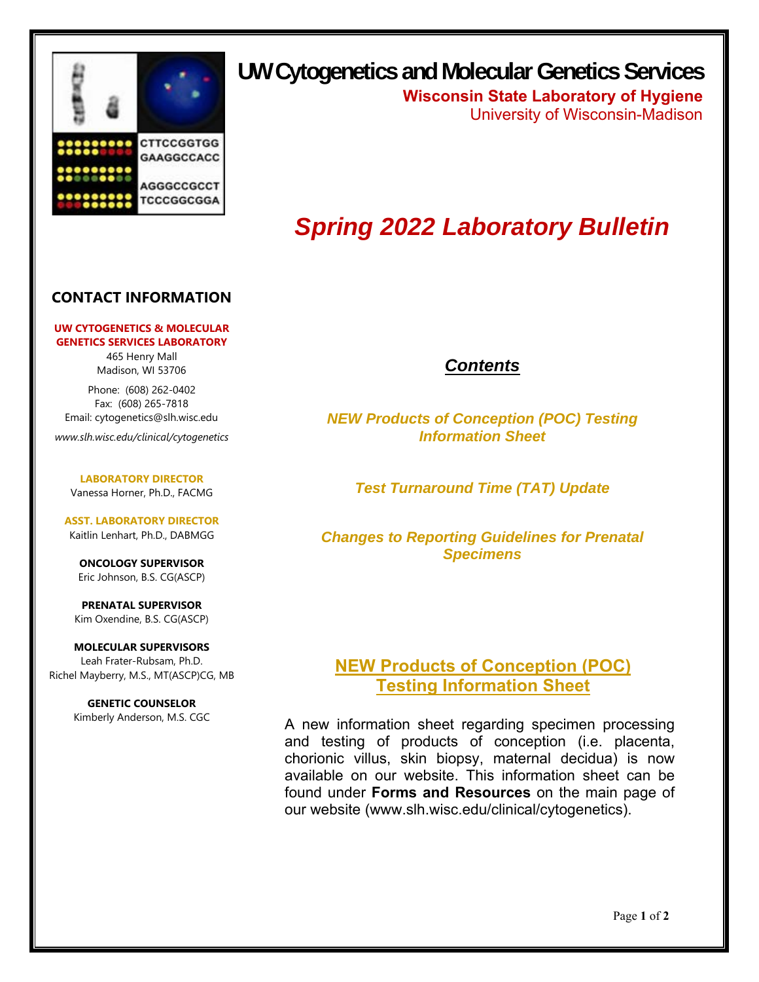

# **UW Cytogenetics and Molecular Genetics Services**

**Wisconsin State Laboratory of Hygiene** University of Wisconsin-Madison

# *Spring 2022 Laboratory Bulletin*

#### **CONTACT INFORMATION**

#### **UW CYTOGENETICS & MOLECULAR GENETICS SERVICES LABORATORY**

465 Henry Mall Madison, WI 53706

Phone: (608) 262-0402 Fax: (608) 265-7818 Email: cytogenetics@slh.wisc.edu

*www.slh.wisc.edu/clinical/cytogenetics* 

**LABORATORY DIRECTOR** Vanessa Horner, Ph.D., FACMG

**ASST. LABORATORY DIRECTOR**  Kaitlin Lenhart, Ph.D., DABMGG

**ONCOLOGY SUPERVISOR**  Eric Johnson, B.S. CG(ASCP)

**PRENATAL SUPERVISOR**  Kim Oxendine, B.S. CG(ASCP)

**MOLECULAR SUPERVISORS**  Leah Frater-Rubsam, Ph.D. Richel Mayberry, M.S., MT(ASCP)CG, MB

> **GENETIC COUNSELOR**  Kimberly Anderson, M.S. CGC

### *Contents*

*NEW Products of Conception (POC) Testing Information Sheet* 

*Test Turnaround Time (TAT) Update* 

*Changes to Reporting Guidelines for Prenatal Specimens* 

### **NEW Products of Conception (POC) Testing Information Sheet**

A new information sheet regarding specimen processing and testing of products of conception (i.e. placenta, chorionic villus, skin biopsy, maternal decidua) is now available on our website. This information sheet can be found under **Forms and Resources** on the main page of our website (www.slh.wisc.edu/clinical/cytogenetics).